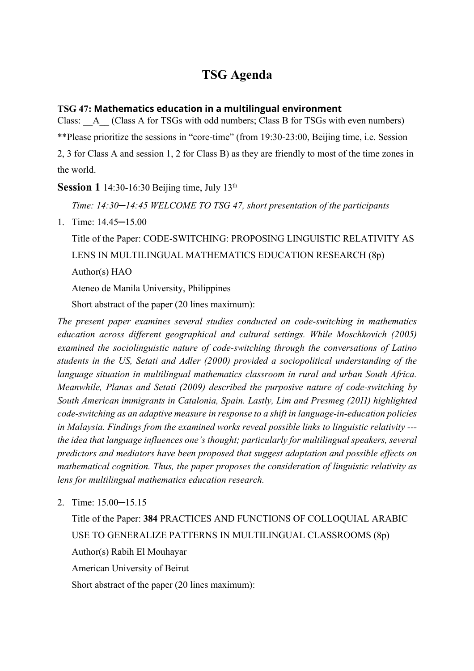## **TSG Agenda**

### **TSG 47: Mathematics education in a multilingual environment**

Class: A (Class A for TSGs with odd numbers; Class B for TSGs with even numbers)

\*\*Please prioritize the sessions in "core-time" (from 19:30-23:00, Beijing time, i.e. Session

2, 3 for Class A and session 1, 2 for Class B) as they are friendly to most of the time zones in the world.

**Session 1** 14:30-16:30 Beijing time, July 13<sup>th</sup>

*Time: 14:30─14:45 WELCOME TO TSG 47, short presentation of the participants*

1. Time: 14.45─15.00

Title of the Paper: CODE-SWITCHING: PROPOSING LINGUISTIC RELATIVITY AS LENS IN MULTILINGUAL MATHEMATICS EDUCATION RESEARCH (8p) Author(s) HAO

Ateneo de Manila University, Philippines

Short abstract of the paper (20 lines maximum):

*The present paper examines several studies conducted on code-switching in mathematics education across different geographical and cultural settings. While Moschkovich (2005) examined the sociolinguistic nature of code-switching through the conversations of Latino*  students in the US, Setati and Adler (2000) provided a sociopolitical understanding of the *language situation in multilingual mathematics classroom in rural and urban South Africa. Meanwhile, Planas and Setati (2009) described the purposive nature of code-switching by South American immigrants in Catalonia, Spain. Lastly, Lim and Presmeg (2011) highlighted code-switching as an adaptive measure in response to a shift in language-in-education policies in Malaysia. Findings from the examined works reveal possible links to linguistic relativity -- the idea that language influences one's thought; particularly for multilingual speakers, several predictors and mediators have been proposed that suggest adaptation and possible effects on mathematical cognition. Thus, the paper proposes the consideration of linguistic relativity as lens for multilingual mathematics education research.* 

2. Time: 15.00─15.15

Title of the Paper: **384** PRACTICES AND FUNCTIONS OF COLLOQUIAL ARABIC USE TO GENERALIZE PATTERNS IN MULTILINGUAL CLASSROOMS (8p) Author(s) Rabih El Mouhayar American University of Beirut Short abstract of the paper (20 lines maximum):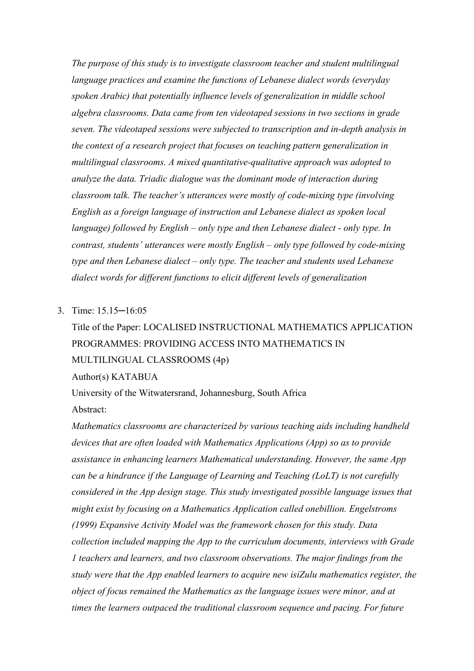*The purpose of this study is to investigate classroom teacher and student multilingual language practices and examine the functions of Lebanese dialect words (everyday spoken Arabic) that potentially influence levels of generalization in middle school algebra classrooms. Data came from ten videotaped sessions in two sections in grade seven. The videotaped sessions were subjected to transcription and in-depth analysis in the context of a research project that focuses on teaching pattern generalization in multilingual classrooms. A mixed quantitative-qualitative approach was adopted to analyze the data. Triadic dialogue was the dominant mode of interaction during classroom talk. The teacher's utterances were mostly of code-mixing type (involving English as a foreign language of instruction and Lebanese dialect as spoken local language) followed by English – only type and then Lebanese dialect - only type. In contrast, students' utterances were mostly English – only type followed by code-mixing type and then Lebanese dialect – only type. The teacher and students used Lebanese dialect words for different functions to elicit different levels of generalization*

3. Time: 15.15─16:05

# Title of the Paper: LOCALISED INSTRUCTIONAL MATHEMATICS APPLICATION PROGRAMMES: PROVIDING ACCESS INTO MATHEMATICS IN MULTILINGUAL CLASSROOMS (4p)

Author(s) KATABUA

University of the Witwatersrand, Johannesburg, South Africa

Abstract:

*Mathematics classrooms are characterized by various teaching aids including handheld devices that are often loaded with Mathematics Applications (App) so as to provide assistance in enhancing learners Mathematical understanding. However, the same App can be a hindrance if the Language of Learning and Teaching (LoLT) is not carefully considered in the App design stage. This study investigated possible language issues that might exist by focusing on a Mathematics Application called onebillion. Engelstroms (1999) Expansive Activity Model was the framework chosen for this study. Data collection included mapping the App to the curriculum documents, interviews with Grade 1 teachers and learners, and two classroom observations. The major findings from the study were that the App enabled learners to acquire new isiZulu mathematics register, the object of focus remained the Mathematics as the language issues were minor, and at times the learners outpaced the traditional classroom sequence and pacing. For future*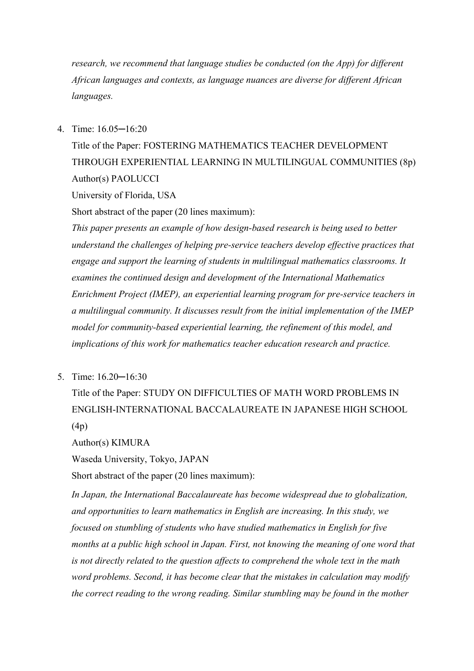*research, we recommend that language studies be conducted (on the App) for different African languages and contexts, as language nuances are diverse for different African languages.*

4. Time: 16.05─16:20

Title of the Paper: FOSTERING MATHEMATICS TEACHER DEVELOPMENT THROUGH EXPERIENTIAL LEARNING IN MULTILINGUAL COMMUNITIES (8p) Author(s) PAOLUCCI

University of Florida, USA

Short abstract of the paper (20 lines maximum):

*This paper presents an example of how design-based research is being used to better understand the challenges of helping pre-service teachers develop effective practices that engage and support the learning of students in multilingual mathematics classrooms. It examines the continued design and development of the International Mathematics Enrichment Project (IMEP), an experiential learning program for pre-service teachers in a multilingual community. It discusses result from the initial implementation of the IMEP model for community-based experiential learning, the refinement of this model, and implications of this work for mathematics teacher education research and practice.*

5. Time: 16.20─16:30

Title of the Paper: STUDY ON DIFFICULTIES OF MATH WORD PROBLEMS IN ENGLISH-INTERNATIONAL BACCALAUREATE IN JAPANESE HIGH SCHOOL (4p)

Author(s) KIMURA

Waseda University, Tokyo, JAPAN

Short abstract of the paper (20 lines maximum):

*In Japan, the International Baccalaureate has become widespread due to globalization, and opportunities to learn mathematics in English are increasing. In this study, we focused on stumbling of students who have studied mathematics in English for five months at a public high school in Japan. First, not knowing the meaning of one word that is not directly related to the question affects to comprehend the whole text in the math word problems. Second, it has become clear that the mistakes in calculation may modify the correct reading to the wrong reading. Similar stumbling may be found in the mother*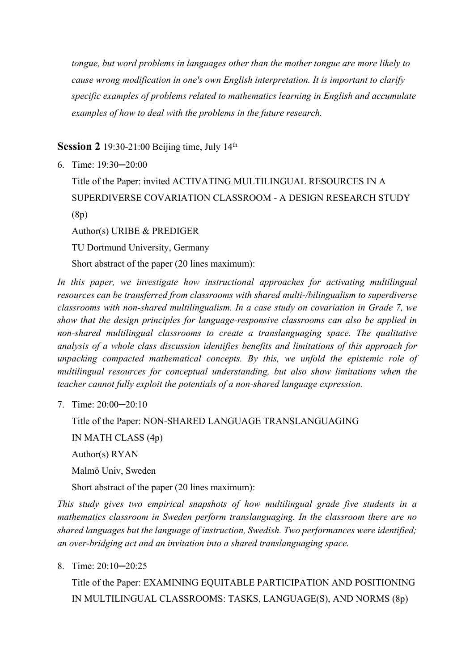*tongue, but word problems in languages other than the mother tongue are more likely to cause wrong modification in one's own English interpretation. It is important to clarify specific examples of problems related to mathematics learning in English and accumulate examples of how to deal with the problems in the future research.*

**Session 2** 19:30-21:00 Beijing time, July 14<sup>th</sup>

6. Time: 19:30─20:00

Title of the Paper: invited ACTIVATING MULTILINGUAL RESOURCES IN A SUPERDIVERSE COVARIATION CLASSROOM - A DESIGN RESEARCH STUDY (8p)

Author(s) URIBE & PREDIGER

TU Dortmund University, Germany

Short abstract of the paper (20 lines maximum):

In this paper, we investigate how instructional approaches for activating multilingual *resources can be transferred from classrooms with shared multi-/bilingualism to superdiverse classrooms with non-shared multilingualism. In a case study on covariation in Grade 7, we show that the design principles for language-responsive classrooms can also be applied in non-shared multilingual classrooms to create a translanguaging space. The qualitative analysis of a whole class discussion identifies benefits and limitations of this approach for unpacking compacted mathematical concepts. By this, we unfold the epistemic role of multilingual resources for conceptual understanding, but also show limitations when the teacher cannot fully exploit the potentials of a non-shared language expression.*

7. Time: 20:00─20:10

Title of the Paper: NON-SHARED LANGUAGE TRANSLANGUAGING

IN MATH CLASS (4p)

Author(s) RYAN

Malmö Univ, Sweden

Short abstract of the paper (20 lines maximum):

*This study gives two empirical snapshots of how multilingual grade five students in a mathematics classroom in Sweden perform translanguaging. In the classroom there are no shared languages but the language of instruction, Swedish. Two performances were identified; an over-bridging act and an invitation into a shared translanguaging space.*

8. Time: 20:10─20:25

Title of the Paper: EXAMINING EQUITABLE PARTICIPATION AND POSITIONING IN MULTILINGUAL CLASSROOMS: TASKS, LANGUAGE(S), AND NORMS (8p)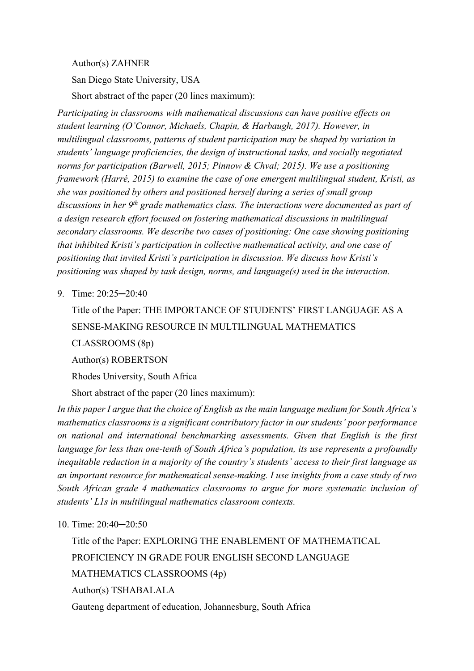Author(s) ZAHNER

San Diego State University, USA

Short abstract of the paper (20 lines maximum):

*Participating in classrooms with mathematical discussions can have positive effects on student learning (O'Connor, Michaels, Chapin, & Harbaugh, 2017). However, in multilingual classrooms, patterns of student participation may be shaped by variation in students' language proficiencies, the design of instructional tasks, and socially negotiated norms for participation (Barwell, 2015; Pinnow & Chval; 2015). We use a positioning framework (Harré, 2015) to examine the case of one emergent multilingual student, Kristi, as she was positioned by others and positioned herself during a series of small group discussions in her 9th grade mathematics class. The interactions were documented as part of a design research effort focused on fostering mathematical discussions in multilingual secondary classrooms. We describe two cases of positioning: One case showing positioning that inhibited Kristi's participation in collective mathematical activity, and one case of positioning that invited Kristi's participation in discussion. We discuss how Kristi's positioning was shaped by task design, norms, and language(s) used in the interaction.*

9. Time: 20:25─20:40

Title of the Paper: THE IMPORTANCE OF STUDENTS' FIRST LANGUAGE AS A SENSE-MAKING RESOURCE IN MULTILINGUAL MATHEMATICS CLASSROOMS (8p)

Author(s) ROBERTSON

Rhodes University, South Africa

Short abstract of the paper (20 lines maximum):

*In this paper I argue that the choice of English as the main language medium for South Africa's mathematics classrooms is a significant contributory factor in our students' poor performance on national and international benchmarking assessments. Given that English is the first language for less than one-tenth of South Africa's population, its use represents a profoundly inequitable reduction in a majority of the country's students' access to their first language as an important resource for mathematical sense-making. I use insights from a case study of two South African grade 4 mathematics classrooms to argue for more systematic inclusion of students' L1s in multilingual mathematics classroom contexts.*

10. Time: 20:40─20:50

Title of the Paper: EXPLORING THE ENABLEMENT OF MATHEMATICAL PROFICIENCY IN GRADE FOUR ENGLISH SECOND LANGUAGE MATHEMATICS CLASSROOMS (4p) Author(s) TSHABALALA

Gauteng department of education, Johannesburg, South Africa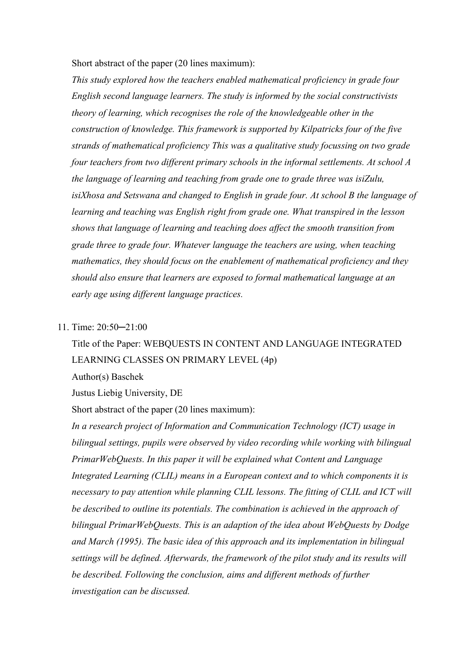Short abstract of the paper (20 lines maximum):

*This study explored how the teachers enabled mathematical proficiency in grade four English second language learners. The study is informed by the social constructivists theory of learning, which recognises the role of the knowledgeable other in the construction of knowledge. This framework is supported by Kilpatricks four of the five strands of mathematical proficiency This was a qualitative study focussing on two grade four teachers from two different primary schools in the informal settlements. At school A the language of learning and teaching from grade one to grade three was isiZulu, isiXhosa and Setswana and changed to English in grade four. At school B the language of learning and teaching was English right from grade one. What transpired in the lesson shows that language of learning and teaching does affect the smooth transition from grade three to grade four. Whatever language the teachers are using, when teaching mathematics, they should focus on the enablement of mathematical proficiency and they should also ensure that learners are exposed to formal mathematical language at an early age using different language practices.*

### 11. Time: 20:50─21:00

# Title of the Paper: WEBQUESTS IN CONTENT AND LANGUAGE INTEGRATED LEARNING CLASSES ON PRIMARY LEVEL (4p)

Author(s) Baschek

Justus Liebig University, DE

Short abstract of the paper (20 lines maximum):

*In a research project of Information and Communication Technology (ICT) usage in bilingual settings, pupils were observed by video recording while working with bilingual PrimarWebQuests. In this paper it will be explained what Content and Language Integrated Learning (CLIL) means in a European context and to which components it is necessary to pay attention while planning CLIL lessons. The fitting of CLIL and ICT will be described to outline its potentials. The combination is achieved in the approach of bilingual PrimarWebQuests. This is an adaption of the idea about WebQuests by Dodge and March (1995). The basic idea of this approach and its implementation in bilingual settings will be defined. Afterwards, the framework of the pilot study and its results will be described. Following the conclusion, aims and different methods of further investigation can be discussed.*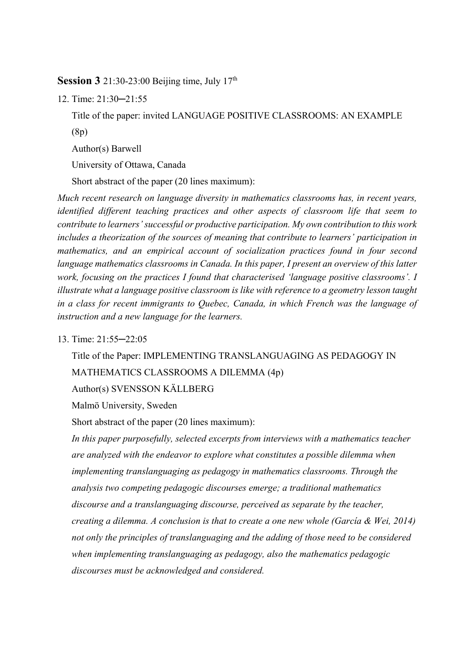**Session 3** 21:30-23:00 Beijing time, July 17<sup>th</sup>

12. Time: 21:30─21:55

Title of the paper: invited LANGUAGE POSITIVE CLASSROOMS: AN EXAMPLE (8p) Author(s) Barwell University of Ottawa, Canada

Short abstract of the paper (20 lines maximum):

*Much recent research on language diversity in mathematics classrooms has, in recent years, identified different teaching practices and other aspects of classroom life that seem to contribute to learners' successful or productive participation. My own contribution to this work includes a theorization of the sources of meaning that contribute to learners' participation in mathematics, and an empirical account of socialization practices found in four second language mathematics classrooms in Canada. In this paper, I present an overview of this latter work, focusing on the practices I found that characterised 'language positive classrooms'. I illustrate what a language positive classroom is like with reference to a geometry lesson taught in a class for recent immigrants to Quebec, Canada, in which French was the language of instruction and a new language for the learners.* 

### 13. Time: 21:55─22:05

Title of the Paper: IMPLEMENTING TRANSLANGUAGING AS PEDAGOGY IN MATHEMATICS CLASSROOMS A DILEMMA (4p) Author(s) SVENSSON KÄLLBERG

Malmö University, Sweden

Short abstract of the paper (20 lines maximum):

*In this paper purposefully, selected excerpts from interviews with a mathematics teacher are analyzed with the endeavor to explore what constitutes a possible dilemma when implementing translanguaging as pedagogy in mathematics classrooms. Through the analysis two competing pedagogic discourses emerge; a traditional mathematics discourse and a translanguaging discourse, perceived as separate by the teacher, creating a dilemma. A conclusion is that to create a one new whole (García & Wei, 2014) not only the principles of translanguaging and the adding of those need to be considered when implementing translanguaging as pedagogy, also the mathematics pedagogic discourses must be acknowledged and considered.*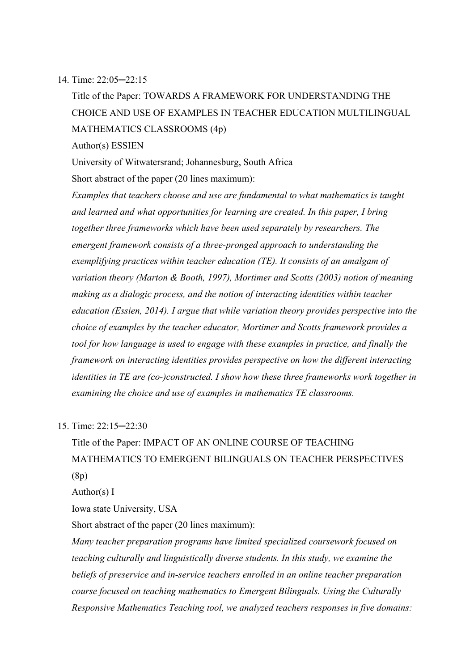14. Time: 22:05─22:15

Title of the Paper: TOWARDS A FRAMEWORK FOR UNDERSTANDING THE CHOICE AND USE OF EXAMPLES IN TEACHER EDUCATION MULTILINGUAL MATHEMATICS CLASSROOMS (4p)

Author(s) ESSIEN

University of Witwatersrand; Johannesburg, South Africa Short abstract of the paper (20 lines maximum):

*Examples that teachers choose and use are fundamental to what mathematics is taught and learned and what opportunities for learning are created. In this paper, I bring together three frameworks which have been used separately by researchers. The emergent framework consists of a three-pronged approach to understanding the exemplifying practices within teacher education (TE). It consists of an amalgam of variation theory (Marton & Booth, 1997), Mortimer and Scotts (2003) notion of meaning making as a dialogic process, and the notion of interacting identities within teacher education (Essien, 2014). I argue that while variation theory provides perspective into the choice of examples by the teacher educator, Mortimer and Scotts framework provides a tool for how language is used to engage with these examples in practice, and finally the framework on interacting identities provides perspective on how the different interacting identities in TE are (co-)constructed. I show how these three frameworks work together in examining the choice and use of examples in mathematics TE classrooms.*

15. Time: 22:15─22:30

Title of the Paper: IMPACT OF AN ONLINE COURSE OF TEACHING MATHEMATICS TO EMERGENT BILINGUALS ON TEACHER PERSPECTIVES (8p)

Author(s) I

Iowa state University, USA

Short abstract of the paper (20 lines maximum):

*Many teacher preparation programs have limited specialized coursework focused on teaching culturally and linguistically diverse students. In this study, we examine the beliefs of preservice and in-service teachers enrolled in an online teacher preparation course focused on teaching mathematics to Emergent Bilinguals. Using the Culturally Responsive Mathematics Teaching tool, we analyzed teachers responses in five domains:*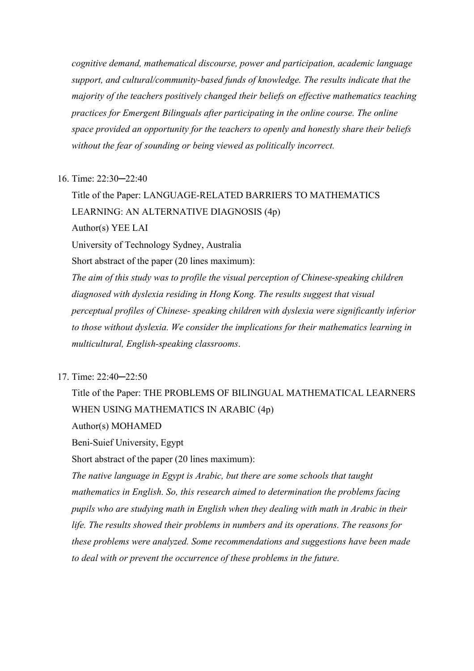*cognitive demand, mathematical discourse, power and participation, academic language support, and cultural/community-based funds of knowledge. The results indicate that the majority of the teachers positively changed their beliefs on effective mathematics teaching practices for Emergent Bilinguals after participating in the online course. The online space provided an opportunity for the teachers to openly and honestly share their beliefs without the fear of sounding or being viewed as politically incorrect.*

#### 16. Time: 22:30─22:40

Title of the Paper: LANGUAGE-RELATED BARRIERS TO MATHEMATICS LEARNING: AN ALTERNATIVE DIAGNOSIS (4p) Author(s) YEE LAI University of Technology Sydney, Australia Short abstract of the paper (20 lines maximum): *The aim of this study was to profile the visual perception of Chinese-speaking children diagnosed with dyslexia residing in Hong Kong. The results suggest that visual perceptual profiles of Chinese- speaking children with dyslexia were significantly inferior to those without dyslexia. We consider the implications for their mathematics learning in multicultural, English-speaking classrooms*.

### 17. Time: 22:40─22:50

Title of the Paper: THE PROBLEMS OF BILINGUAL MATHEMATICAL LEARNERS WHEN USING MATHEMATICS IN ARABIC (4p) Author(s) MOHAMED

Beni-Suief University, Egypt

Short abstract of the paper (20 lines maximum):

*The native language in Egypt is Arabic, but there are some schools that taught mathematics in English. So, this research aimed to determination the problems facing pupils who are studying math in English when they dealing with math in Arabic in their life. The results showed their problems in numbers and its operations. The reasons for these problems were analyzed. Some recommendations and suggestions have been made to deal with or prevent the occurrence of these problems in the future.*